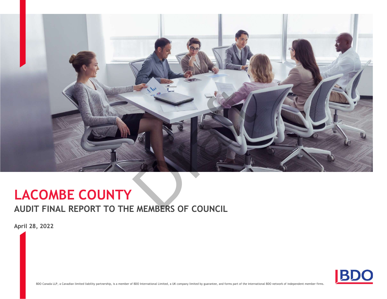

## LACOMBE COUNTY

### AUDIT FINAL REPORT TO THE MEMBERS OF COUNCIL

April 28, 2022



BDO Canada LLP, a Canadian limited liability partnership, is a member of BDO International Limited, a UK company limited by guarantee, and forms part of the international BDO network of independent member firms.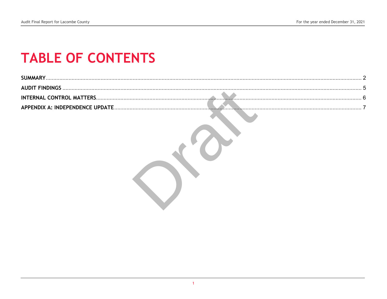# **TABLE OF CONTENTS**

| SUMMAR'                          |  |
|----------------------------------|--|
| AUDIT FINDINGS                   |  |
| <b>INTERNAL CONTROL MATTERS.</b> |  |
| APPENDIX A: INDEPENDENCE UPDATE. |  |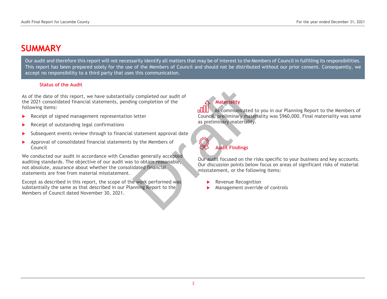### SUMMARY

Our audit and therefore this report will not necessarily identify all matters that may be of interest to the Members of Council in fulfilling its responsibilities. This report has been prepared solely for the use of the Members of Council and should not be distributed without our prior consent. Consequently, we accept no responsibility to a third party that uses this communication.

#### Status of the Audit

As of the date of this report, we have substantially completed our audit of the 2021 consolidated financial statements, pending completion of the following items:

- Receipt of signed management representation letter
- Receipt of outstanding legal confirmations
- Subsequent events review through to financial statement approval date
- Approval of consolidated financial statements by the Members of Council

We conducted our audit in accordance with Canadian generally accepted auditing standards. The objective of our audit was to obtain reasonable, not absolute, assurance about whether the consolidated financial statements are free from material misstatement. Nexternality<br>
In letter<br>
In letter<br>
In letter<br>
In letter<br>
Letter<br>
Letter<br>
Summinimary materiality.<br>
Letter<br>
Summinimary materiality.<br>
Letter<br>
Summinimary materiality.<br>
Letter<br>
Summinimary materiality.<br>
Summinimary material

Except as described in this report, the scope of the work performed was substantially the same as that described in our Planning Report to the Members of Council dated November 30, 2021.

Materiality

As communicated to you in our Planning Report to the Members of Council, preliminary materiality was \$960,000. Final materiality was same as preliminary materiality.

Audit Findings

Our audit focused on the risks specific to your business and key accounts. Our discussion points below focus on areas of significant risks of material misstatement, or the following items:

- Revenue Recognition
- Management override of controls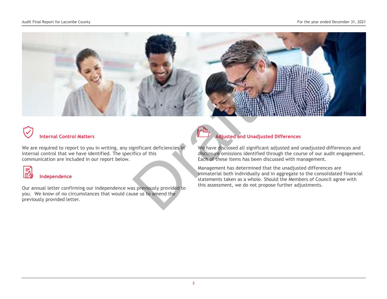

## Internal Control Matters

We are required to report to you in writing, any significant deficiencies in internal control that we have identified. The specifics of this communication are included in our report below.



#### Independence

Our annual letter confirming our independence was previously provided to you. We know of no circumstances that would cause us to amend the previously provided letter.



We have disclosed all significant adjusted and unadjusted differences and disclosure omissions identified through the course of our audit engagement. Each of these items has been discussed with management.

Management has determined that the unadjusted differences are immaterial both individually and in aggregate to the consolidated financial statements taken as a whole. Should the Members of Council agree with this assessment, we do not propose further adjustments.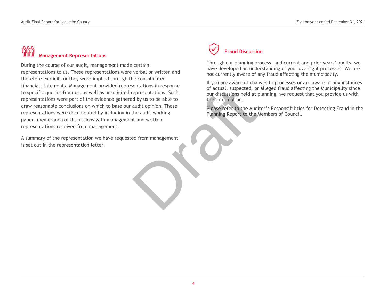## Management Representations

During the course of our audit, management made certain representations to us. These representations were verbal or written and therefore explicit, or they were implied through the consolidated financial statements. Management provided representations in response to specific queries from us, as well as unsolicited representations. Such representations were part of the evidence gathered by us to be able to draw reasonable conclusions on which to base our audit opinion. These representations were documented by including in the audit working papers memoranda of discussions with management and written representations received from management. Senations interspersed<br>
representations. Such<br>
d by us to be able to<br>
audit opinion. These<br>
the audit working<br>
that and written<br>
ed from management<br>
ed from management<br>
ed from management

A summary of the representation we have requested from management is set out in the representation letter.

## Fraud Discussion

Through our planning process, and current and prior years' audits, we have developed an understanding of your oversight processes. We are not currently aware of any fraud affecting the municipality.

If you are aware of changes to processes or are aware of any instances of actual, suspected, or alleged fraud affecting the Municipality since our discussions held at planning, we request that you provide us with this information.

Please refer to the Auditor's Responsibilities for Detecting Fraud in the Planning Report to the Members of Council.

Ĩ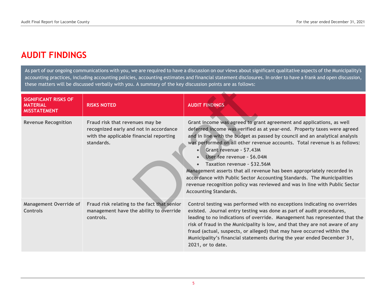### AUDIT FINDINGS

As part of our ongoing communications with you, we are required to have a discussion on our views about significant qualitative aspects of the Municipality's accounting practices, including accounting policies, accounting estimates and financial statement disclosures. In order to have a frank and open discussion, these matters will be discussed verbally with you. A summary of the key discussion points are as follows:

| <b>SIGNIFICANT RISKS OF</b><br><b>MATERIAL</b><br><b>MISSTATEMENT</b> | <b>RISKS NOTED</b>                                                                                                                 | <b>AUDIT FINDINGS</b>                                                                                                                                                                                                                                                                                                                                                                                                                                                                                                                                                                                                                                                                             |
|-----------------------------------------------------------------------|------------------------------------------------------------------------------------------------------------------------------------|---------------------------------------------------------------------------------------------------------------------------------------------------------------------------------------------------------------------------------------------------------------------------------------------------------------------------------------------------------------------------------------------------------------------------------------------------------------------------------------------------------------------------------------------------------------------------------------------------------------------------------------------------------------------------------------------------|
| <b>Revenue Recognition</b>                                            | Fraud risk that revenues may be<br>recognized early and not in accordance<br>with the applicable financial reporting<br>standards. | Grant income was agreed to grant agreement and applications, as well<br>deferred income was verified as at year-end. Property taxes were agreed<br>and in line with the budget as passed by council and an analytical analysis<br>was performed on all other revenue accounts. Total revenue is as follows:<br>Grant revenue - \$7.43M<br>$\bullet$ /<br>User fee revenue - \$6.04M<br>Taxation revenue - \$32.56M<br>$\bullet$<br>Management asserts that all revenue has been appropriately recorded in<br>accordance with Public Sector Accounting Standards. The Municipalities<br>revenue recognition policy was reviewed and was in line with Public Sector<br><b>Accounting Standards.</b> |
| <b>Management Override of</b><br><b>Controls</b>                      | Fraud risk relating to the fact that senior<br>management have the ability to override<br>controls.                                | Control testing was performed with no exceptions indicating no overrides<br>existed. Journal entry testing was done as part of audit procedures,<br>leading to no indications of override. Management has represented that the<br>risk of fraud in the Municipality is low, and that they are not aware of any<br>fraud (actual, suspects, or alleged) that may have occurred within the<br>Municipality's financial statements during the year ended December 31,<br>2021, or to date.                                                                                                                                                                                                           |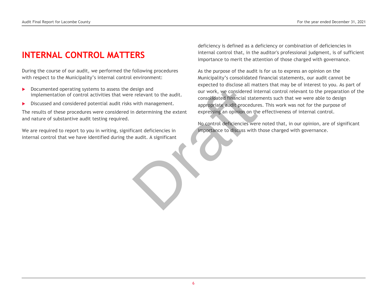### INTERNAL CONTROL MATTERS

During the course of our audit, we performed the following procedures with respect to the Municipality's internal control environment:

- Documented operating systems to assess the design and implementation of control activities that were relevant to the audit.
- Discussed and considered potential audit risks with management.

The results of these procedures were considered in determining the extent and nature of substantive audit testing required.

We are required to report to you in writing, significant deficiencies in internal control that we have identified during the audit. A significant

deficiency is defined as a deficiency or combination of deficiencies in internal control that, in the auditor's professional judgment, is of sufficient importance to merit the attention of those charged with governance.

As the purpose of the audit is for us to express an opinion on the Municipality's consolidated financial statements, our audit cannot be expected to disclose all matters that may be of interest to you. As part of our work, we considered internal control relevant to the preparation of the consolidated financial statements such that we were able to design appropriate audit procedures. This work was not for the purpose of expressing an opinion on the effectiveness of internal control. Example and<br>
The selevant to the audit.<br>
Solution of the audit of the audit of the audit of the audit of the audit of the consolidated financial state<br>
in determining the extent<br>
Financial state<br>
suppropriate audit procedu

No control deficiencies were noted that, in our opinion, are of significant importance to discuss with those charged with governance.